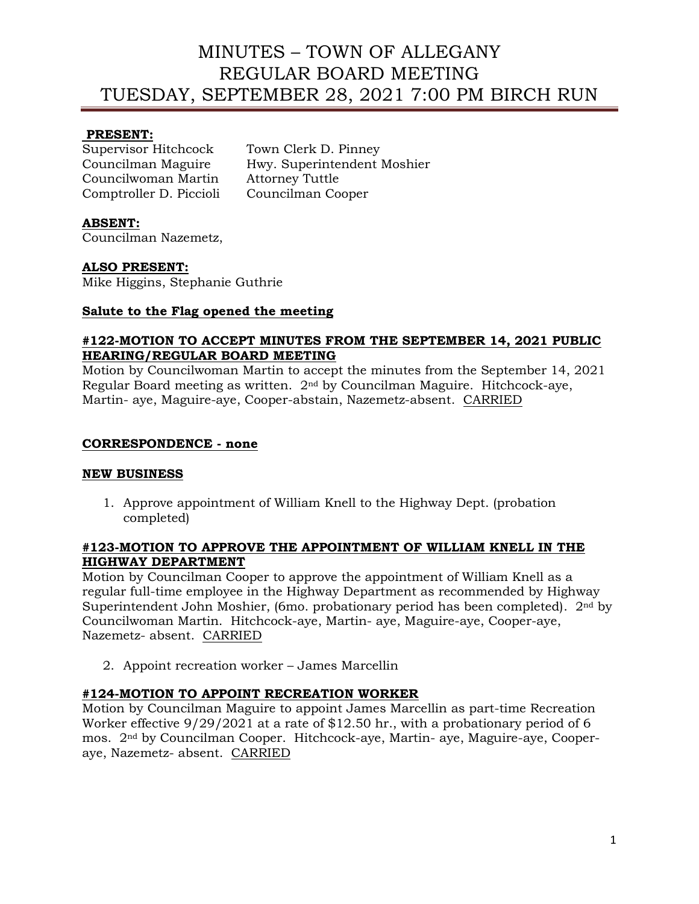# MINUTES – TOWN OF ALLEGANY REGULAR BOARD MEETING TUESDAY, SEPTEMBER 28, 2021 7:00 PM BIRCH RUN

## **PRESENT:**

Supervisor Hitchcock Town Clerk D. Pinney Councilwoman Martin Attorney Tuttle Comptroller D. Piccioli Councilman Cooper

Councilman Maguire Hwy. Superintendent Moshier

# **ABSENT:**

Councilman Nazemetz,

### **ALSO PRESENT:**

Mike Higgins, Stephanie Guthrie

#### **Salute to the Flag opened the meeting**

#### **#122-MOTION TO ACCEPT MINUTES FROM THE SEPTEMBER 14, 2021 PUBLIC HEARING/REGULAR BOARD MEETING**

Motion by Councilwoman Martin to accept the minutes from the September 14, 2021 Regular Board meeting as written. 2nd by Councilman Maguire. Hitchcock-aye, Martin- aye, Maguire-aye, Cooper-abstain, Nazemetz-absent. CARRIED

#### **CORRESPONDENCE - none**

### **NEW BUSINESS**

1. Approve appointment of William Knell to the Highway Dept. (probation completed)

# **#123-MOTION TO APPROVE THE APPOINTMENT OF WILLIAM KNELL IN THE HIGHWAY DEPARTMENT**

Motion by Councilman Cooper to approve the appointment of William Knell as a regular full-time employee in the Highway Department as recommended by Highway Superintendent John Moshier, (6mo. probationary period has been completed).  $2<sup>nd</sup>$  by Councilwoman Martin. Hitchcock-aye, Martin- aye, Maguire-aye, Cooper-aye, Nazemetz- absent. CARRIED

2. Appoint recreation worker – James Marcellin

### **#124-MOTION TO APPOINT RECREATION WORKER**

Motion by Councilman Maguire to appoint James Marcellin as part-time Recreation Worker effective 9/29/2021 at a rate of \$12.50 hr., with a probationary period of 6 mos. 2nd by Councilman Cooper. Hitchcock-aye, Martin- aye, Maguire-aye, Cooperaye, Nazemetz- absent. CARRIED